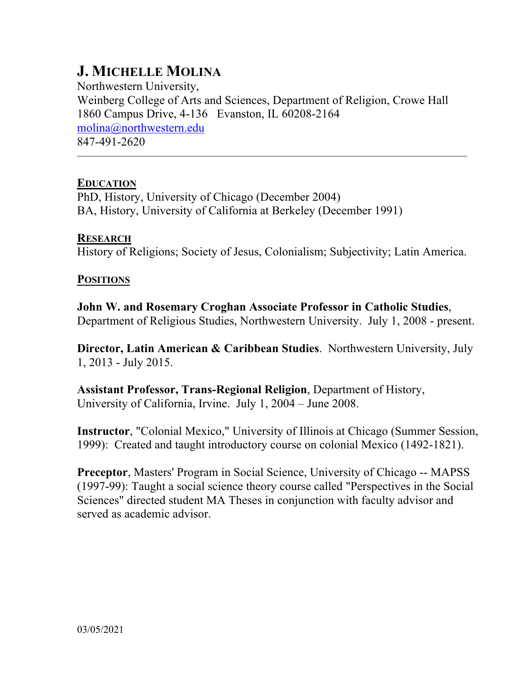# **J. MICHELLE MOLINA**

Northwestern University, Weinberg College of Arts and Sciences, Department of Religion, Crowe Hall 1860 Campus Drive, 4-136 Evanston, IL 60208-2164 molina@northwestern.edu 847-491-2620

–––––––––––––––––––––––––––––––––––––––––––––––––––––––––––––––––

# **EDUCATION**

PhD, History, University of Chicago (December 2004) BA, History, University of California at Berkeley (December 1991)

# **RESEARCH**

History of Religions; Society of Jesus, Colonialism; Subjectivity; Latin America.

# **POSITIONS**

**John W. and Rosemary Croghan Associate Professor in Catholic Studies**, Department of Religious Studies, Northwestern University. July 1, 2008 - present.

**Director, Latin American & Caribbean Studies**. Northwestern University, July 1, 2013 - July 2015.

**Assistant Professor, Trans-Regional Religion**, Department of History, University of California, Irvine. July 1, 2004 – June 2008.

**Instructor**, "Colonial Mexico," University of Illinois at Chicago (Summer Session, 1999): Created and taught introductory course on colonial Mexico (1492-1821).

**Preceptor**, Masters' Program in Social Science, University of Chicago -- MAPSS (1997-99): Taught a social science theory course called "Perspectives in the Social Sciences" directed student MA Theses in conjunction with faculty advisor and served as academic advisor.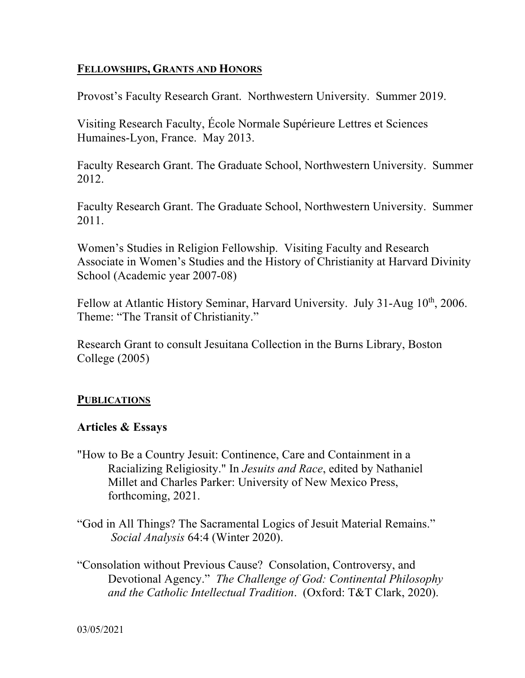# **FELLOWSHIPS, GRANTS AND HONORS**

Provost's Faculty Research Grant. Northwestern University. Summer 2019.

Visiting Research Faculty, École Normale Supérieure Lettres et Sciences Humaines-Lyon, France. May 2013.

Faculty Research Grant. The Graduate School, Northwestern University. Summer 2012.

Faculty Research Grant. The Graduate School, Northwestern University. Summer 2011.

Women's Studies in Religion Fellowship. Visiting Faculty and Research Associate in Women's Studies and the History of Christianity at Harvard Divinity School (Academic year 2007-08)

Fellow at Atlantic History Seminar, Harvard University. July 31-Aug 10<sup>th</sup>, 2006. Theme: "The Transit of Christianity."

Research Grant to consult Jesuitana Collection in the Burns Library, Boston College (2005)

## **PUBLICATIONS**

## **Articles & Essays**

- "How to Be a Country Jesuit: Continence, Care and Containment in a Racializing Religiosity." In *Jesuits and Race*, edited by Nathaniel Millet and Charles Parker: University of New Mexico Press, forthcoming, 2021.
- "God in All Things? The Sacramental Logics of Jesuit Material Remains." *Social Analysis* 64:4 (Winter 2020).
- "Consolation without Previous Cause? Consolation, Controversy, and Devotional Agency." *The Challenge of God: Continental Philosophy and the Catholic Intellectual Tradition*. (Oxford: T&T Clark, 2020).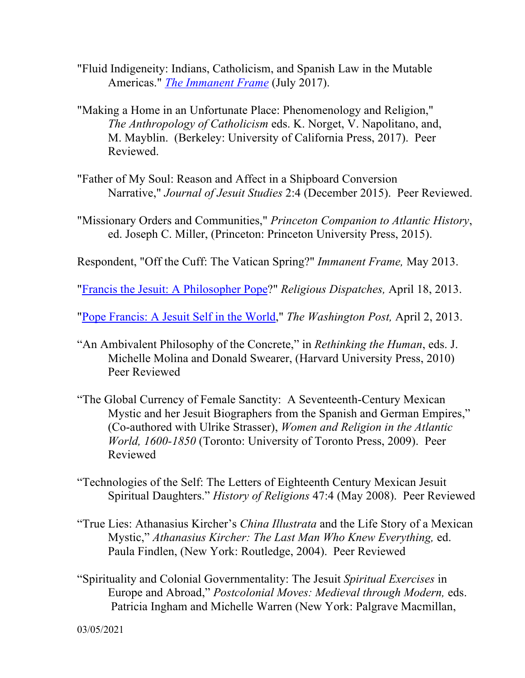- "Fluid Indigeneity: Indians, Catholicism, and Spanish Law in the Mutable Americas." *The Immanent Frame* (July 2017).
- "Making a Home in an Unfortunate Place: Phenomenology and Religion," *The Anthropology of Catholicism* eds. K. Norget, V. Napolitano, and, M. Mayblin. (Berkeley: University of California Press, 2017). Peer Reviewed.
- "Father of My Soul: Reason and Affect in a Shipboard Conversion Narrative," *Journal of Jesuit Studies* 2:4 (December 2015). Peer Reviewed.
- "Missionary Orders and Communities," *Princeton Companion to Atlantic History*, ed. Joseph C. Miller, (Princeton: Princeton University Press, 2015).
- Respondent, "Off the Cuff: The Vatican Spring?" *Immanent Frame,* May 2013.

"Francis the Jesuit: A Philosopher Pope?" *Religious Dispatches,* April 18, 2013.

"Pope Francis: A Jesuit Self in the World," *The Washington Post,* April 2, 2013.

- "An Ambivalent Philosophy of the Concrete," in *Rethinking the Human*, eds. J. Michelle Molina and Donald Swearer, (Harvard University Press, 2010) Peer Reviewed
- "The Global Currency of Female Sanctity: A Seventeenth-Century Mexican Mystic and her Jesuit Biographers from the Spanish and German Empires," (Co-authored with Ulrike Strasser), *Women and Religion in the Atlantic World, 1600-1850* (Toronto: University of Toronto Press, 2009). Peer Reviewed
- "Technologies of the Self: The Letters of Eighteenth Century Mexican Jesuit Spiritual Daughters." *History of Religions* 47:4 (May 2008). Peer Reviewed
- "True Lies: Athanasius Kircher's *China Illustrata* and the Life Story of a Mexican Mystic," *Athanasius Kircher: The Last Man Who Knew Everything,* ed. Paula Findlen, (New York: Routledge, 2004). Peer Reviewed
- "Spirituality and Colonial Governmentality: The Jesuit *Spiritual Exercises* in Europe and Abroad," *Postcolonial Moves: Medieval through Modern,* eds. Patricia Ingham and Michelle Warren (New York: Palgrave Macmillan,